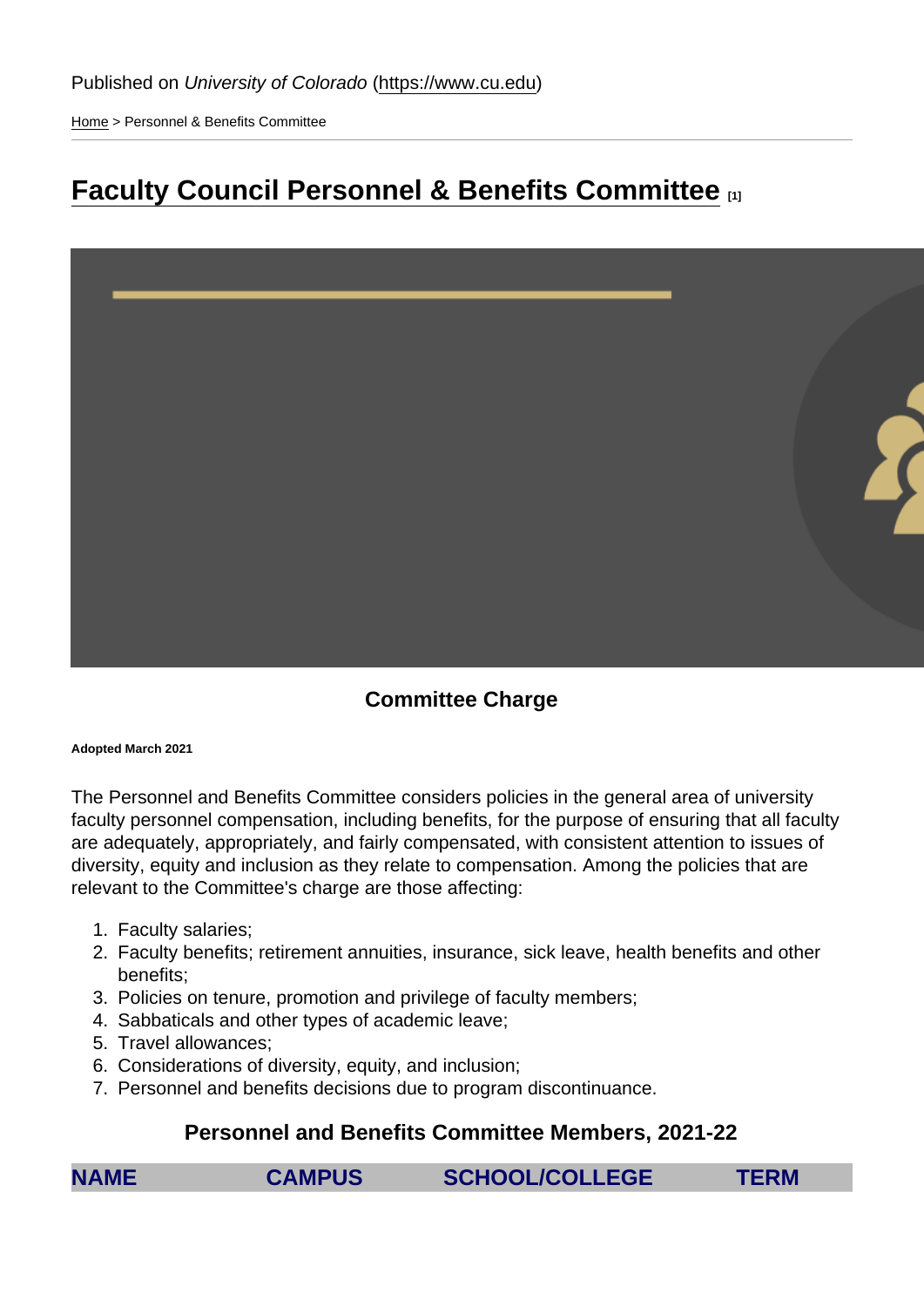[Home](https://www.cu.edu/) > Personnel & Benefits Committee

## [Faculty Council Personnel & Benefits Committee](https://www.cu.edu/faculty/committees-faculty-council/faculty-council-personnel-benefits-committee) **[1]**

Committee Charge

Adopted March 2021

The Personnel and Benefits Committee considers policies in the general area of university faculty personnel compensation, including benefits, for the purpose of ensuring that all faculty are adequately, appropriately, and fairly compensated, with consistent attention to issues of diversity, equity and inclusion as they relate to compensation. Among the policies that are relevant to the Committee's charge are those affecting:

- 1. Faculty salaries;
- 2. Faculty benefits; retirement annuities, insurance, sick leave, health benefits and other benefits;
- 3. Policies on tenure, promotion and privilege of faculty members;
- 4. Sabbaticals and other types of academic leave;
- 5. Travel allowances;
- 6. Considerations of diversity, equity, and inclusion;
- 7. Personnel and benefits decisions due to program discontinuance.

Personnel and Benefits Committee Members, 2021-22

| <b>NAME</b> | <b>CAMPUS</b> | <b>SCHOOL/COLLEGE</b> | <b>TERM</b> |
|-------------|---------------|-----------------------|-------------|
|             |               |                       |             |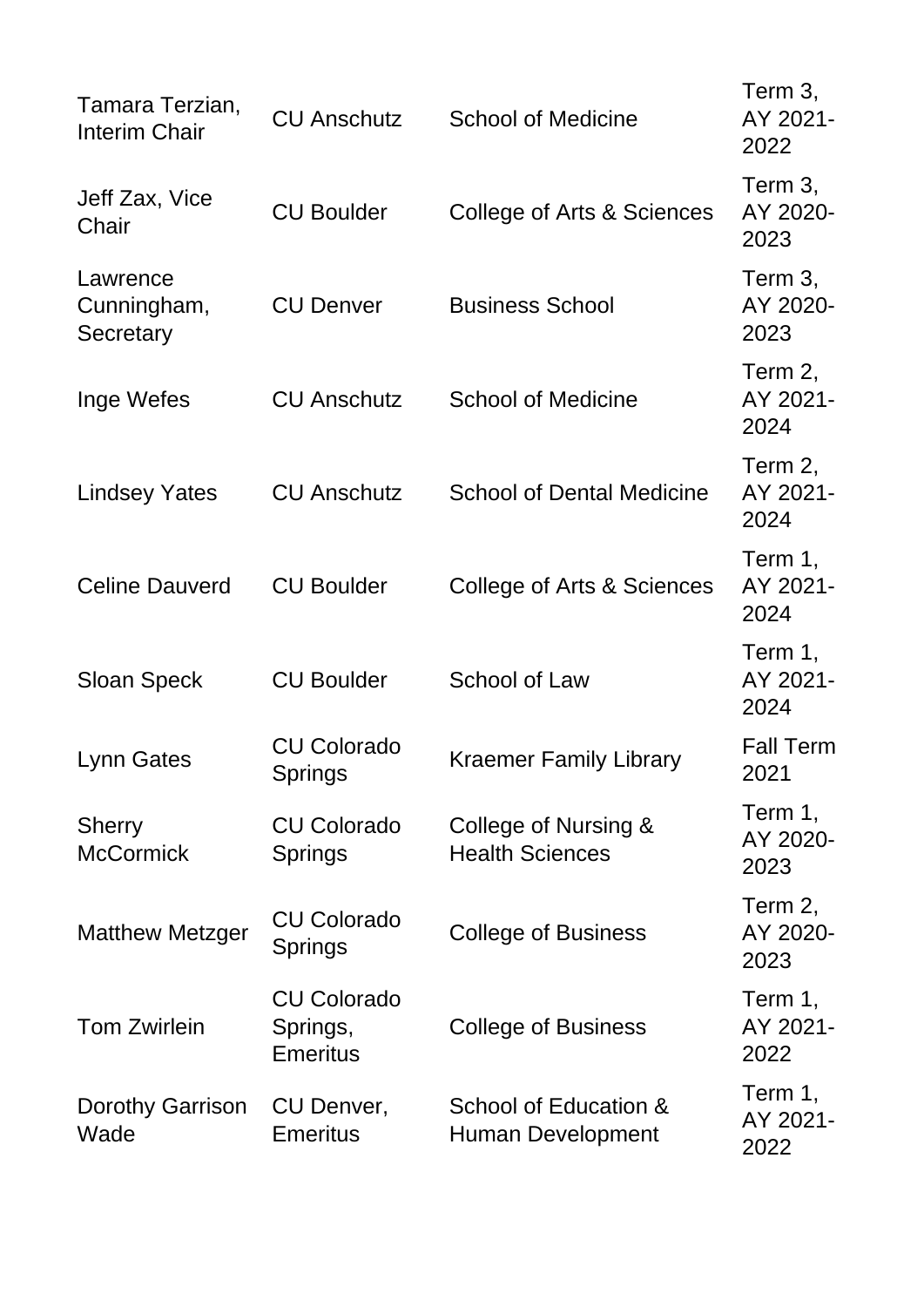| Tamara Terzian,<br><b>Interim Chair</b> | <b>CU Anschutz</b>                                | <b>School of Medicine</b>                         | Term 3,<br>AY 2021-<br>2022 |
|-----------------------------------------|---------------------------------------------------|---------------------------------------------------|-----------------------------|
| Jeff Zax, Vice<br>Chair                 | <b>CU Boulder</b>                                 | <b>College of Arts &amp; Sciences</b>             | Term 3,<br>AY 2020-<br>2023 |
| Lawrence<br>Cunningham,<br>Secretary    | <b>CU Denver</b>                                  | <b>Business School</b>                            | Term 3,<br>AY 2020-<br>2023 |
| Inge Wefes                              | <b>CU Anschutz</b>                                | <b>School of Medicine</b>                         | Term 2,<br>AY 2021-<br>2024 |
| <b>Lindsey Yates</b>                    | <b>CU Anschutz</b>                                | <b>School of Dental Medicine</b>                  | Term 2,<br>AY 2021-<br>2024 |
| <b>Celine Dauverd</b>                   | <b>CU Boulder</b>                                 | College of Arts & Sciences                        | Term 1,<br>AY 2021-<br>2024 |
| <b>Sloan Speck</b>                      | <b>CU Boulder</b>                                 | School of Law                                     | Term 1,<br>AY 2021-<br>2024 |
| Lynn Gates                              | <b>CU Colorado</b><br>Springs                     | <b>Kraemer Family Library</b>                     | <b>Fall Term</b><br>2021    |
| <b>Sherry</b><br><b>McCormick</b>       | <b>CU Colorado</b><br><b>Springs</b>              | College of Nursing &<br><b>Health Sciences</b>    | Term 1,<br>AY 2020-<br>2023 |
| <b>Matthew Metzger</b>                  | <b>CU Colorado</b><br><b>Springs</b>              | <b>College of Business</b>                        | Term 2,<br>AY 2020-<br>2023 |
| <b>Tom Zwirlein</b>                     | <b>CU Colorado</b><br>Springs,<br><b>Emeritus</b> | <b>College of Business</b>                        | Term 1,<br>AY 2021-<br>2022 |
| Dorothy Garrison<br>Wade                | CU Denver,<br><b>Emeritus</b>                     | School of Education &<br><b>Human Development</b> | Term 1,<br>AY 2021-<br>2022 |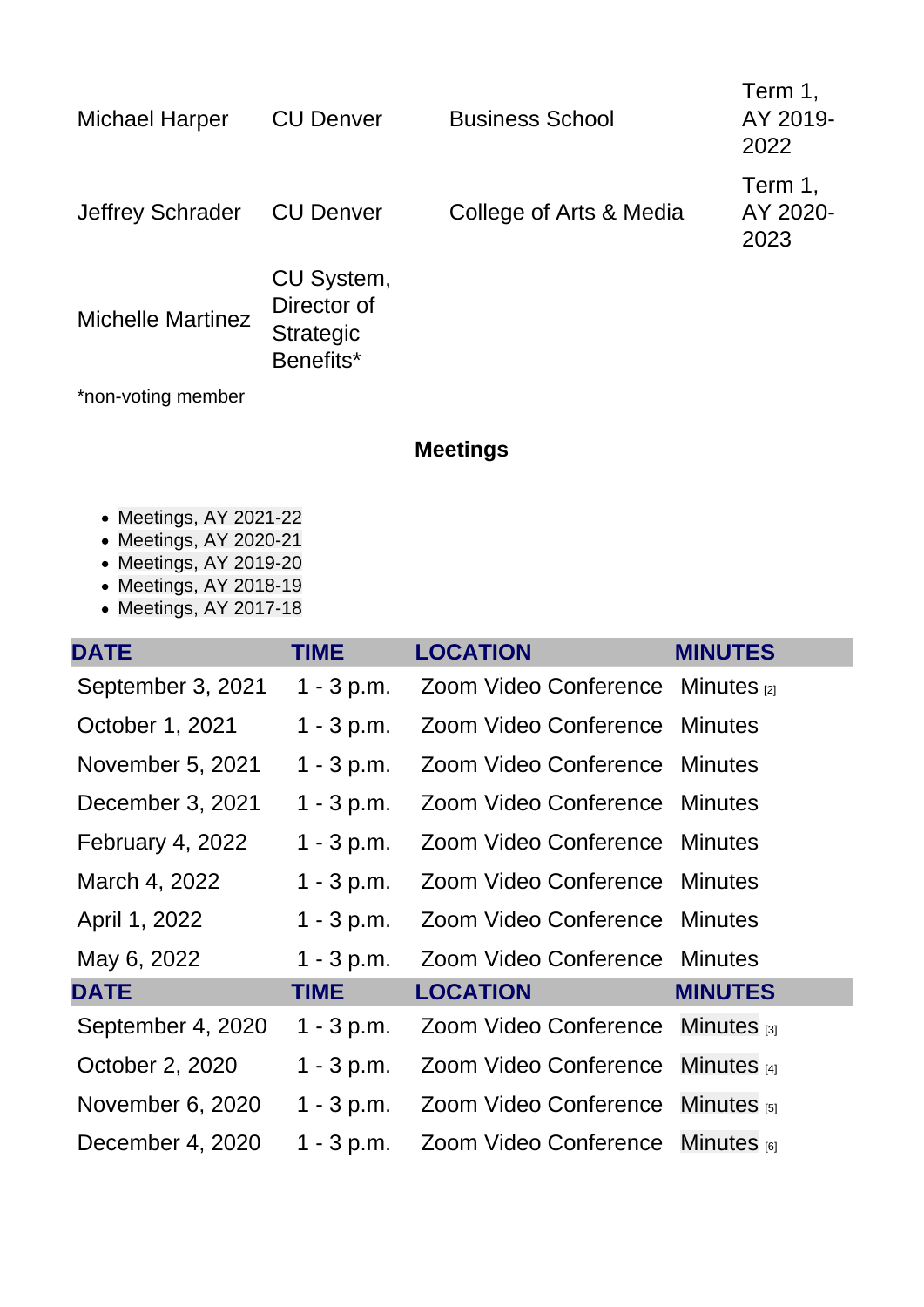| <b>Michael Harper</b>                                                                                                                                                                     | <b>CU Denver</b>                                           | <b>Business School</b>  | Term 1,<br>AY 2019-<br>2022 |
|-------------------------------------------------------------------------------------------------------------------------------------------------------------------------------------------|------------------------------------------------------------|-------------------------|-----------------------------|
| <b>Jeffrey Schrader</b>                                                                                                                                                                   | <b>CU Denver</b>                                           | College of Arts & Media | Term 1,<br>AY 2020-<br>2023 |
| <b>Michelle Martinez</b>                                                                                                                                                                  | CU System,<br>Director of<br><b>Strategic</b><br>Benefits* |                         |                             |
| *non-voting member                                                                                                                                                                        |                                                            |                         |                             |
|                                                                                                                                                                                           |                                                            | <b>Meetings</b>         |                             |
| • Meetings, AY 2021-22<br>• Meetings, AY 2020-21<br>$M_{\text{e}}$ , $M_{\text{e}}$ , $M_{\text{e}}$ , $M_{\text{e}}$ , $M_{\text{e}}$ , $M_{\text{e}}$ , $M_{\text{e}}$ , $M_{\text{e}}$ |                                                            |                         |                             |

- [Meetings, AY 2019-20](#page-3-0)
- Meetings, AY 2018-19
- [Meetings, AY 2017-18](#page-4-0)

| <b>DATE</b>       | <b>TIME</b>  | <b>LOCATION</b>                        | <b>MINUTES</b> |
|-------------------|--------------|----------------------------------------|----------------|
| September 3, 2021 | $1 - 3 p.m.$ | Zoom Video Conference Minutes [2]      |                |
| October 1, 2021   | $1 - 3 p.m.$ | Zoom Video Conference Minutes          |                |
| November 5, 2021  | $1 - 3 p.m.$ | Zoom Video Conference Minutes          |                |
| December 3, 2021  | $1 - 3 p.m.$ | Zoom Video Conference Minutes          |                |
| February 4, 2022  | $1 - 3 p.m.$ | Zoom Video Conference Minutes          |                |
| March 4, 2022     | $1 - 3 p.m.$ | Zoom Video Conference Minutes          |                |
| April 1, 2022     | $1 - 3 p.m.$ | Zoom Video Conference Minutes          |                |
| May 6, 2022       | $1 - 3 p.m.$ | Zoom Video Conference Minutes          |                |
| <b>DATE</b>       | <b>TIME</b>  | <b>LOCATION</b>                        | <b>MINUTES</b> |
| September 4, 2020 | $1 - 3 p.m.$ | Zoom Video Conference Minutes [3]      |                |
| October 2, 2020   | $1 - 3 p.m.$ | Zoom Video Conference Minutes $_{[4]}$ |                |
| November 6, 2020  | $1 - 3 p.m.$ | Zoom Video Conference Minutes [5]      |                |
| December 4, 2020  | $1 - 3 p.m.$ | Zoom Video Conference Minutes [6]      |                |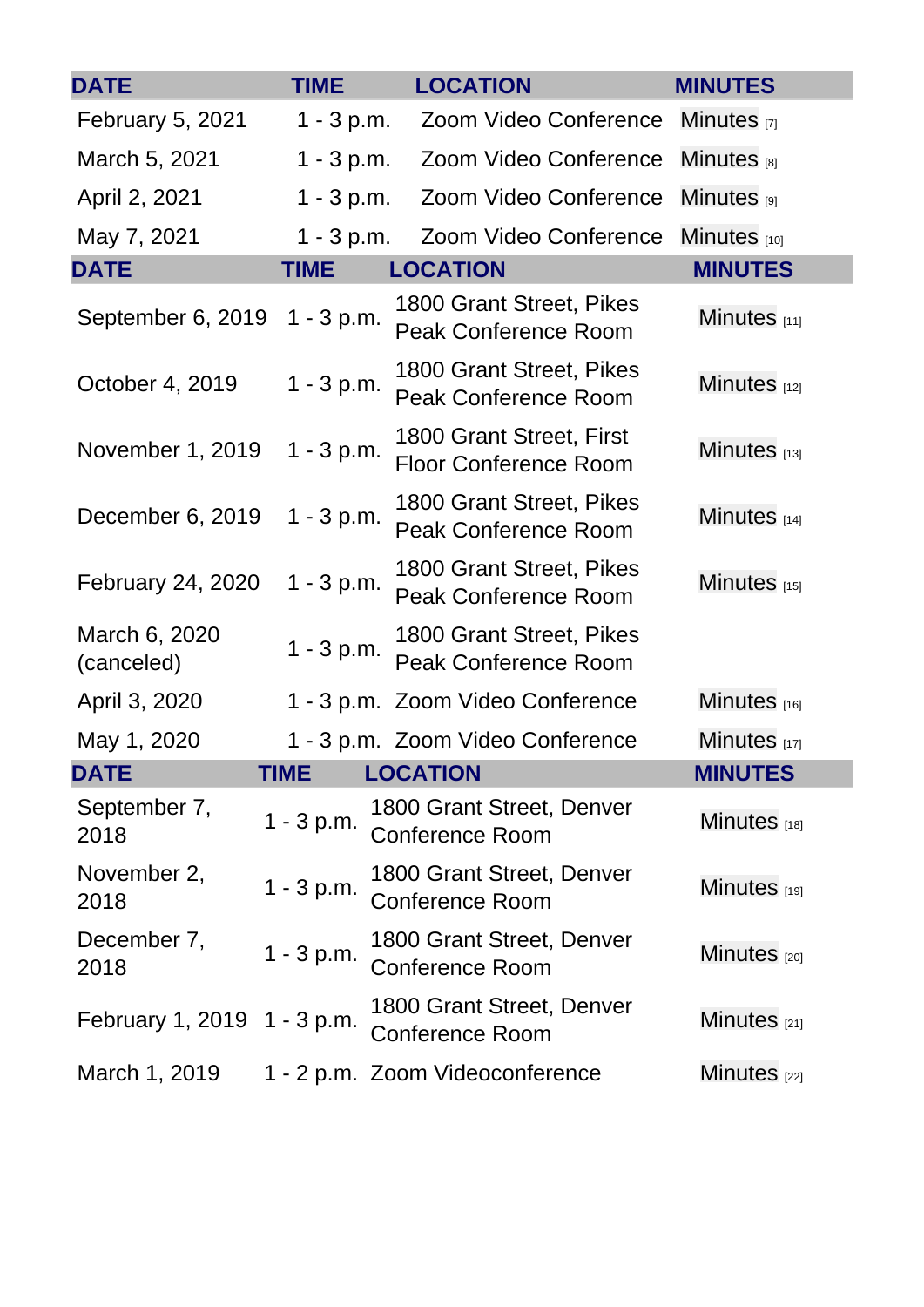<span id="page-3-0"></span>

| <b>DATE</b>                 | <b>TIME</b>  | <b>LOCATION</b>                                          | <b>MINUTES</b>         |
|-----------------------------|--------------|----------------------------------------------------------|------------------------|
| <b>February 5, 2021</b>     | $1 - 3 p.m.$ | Zoom Video Conference                                    | Minutes <sub>[7]</sub> |
| March 5, 2021               | $1 - 3 p.m.$ | Zoom Video Conference                                    | Minutes [8]            |
| April 2, 2021               | $1 - 3 p.m.$ | Zoom Video Conference                                    | Minutes $_{[9]}$       |
| May 7, 2021                 | $1 - 3 p.m.$ | Zoom Video Conference                                    | Minutes $[10]$         |
| <b>DATE</b>                 | <b>TIME</b>  | <b>LOCATION</b>                                          | <b>MINUTES</b>         |
| September 6, 2019           | $1 - 3 p.m.$ | 1800 Grant Street, Pikes<br><b>Peak Conference Room</b>  | Minutes $[11]$         |
| October 4, 2019             | $1 - 3 p.m.$ | 1800 Grant Street, Pikes<br><b>Peak Conference Room</b>  | Minutes $[12]$         |
| November 1, 2019            | $1 - 3 p.m.$ | 1800 Grant Street, First<br><b>Floor Conference Room</b> | Minutes $[13]$         |
| December 6, 2019            | $1 - 3 p.m.$ | 1800 Grant Street, Pikes<br><b>Peak Conference Room</b>  | Minutes $[14]$         |
| <b>February 24, 2020</b>    | $1 - 3 p.m.$ | 1800 Grant Street, Pikes<br><b>Peak Conference Room</b>  | Minutes $[15]$         |
| March 6, 2020<br>(canceled) | $1 - 3 p.m.$ | 1800 Grant Street, Pikes<br><b>Peak Conference Room</b>  |                        |
| April 3, 2020               |              | 1 - 3 p.m. Zoom Video Conference                         | Minutes $[16]$         |
| May 1, 2020                 |              | 1 - 3 p.m. Zoom Video Conference                         | Minutes [17]           |
| <b>DATE</b>                 | <b>TIME</b>  | <b>LOCATION</b>                                          | <b>MINUTES</b>         |
| September 7,<br>2018        | $1 - 3 p.m.$ | 1800 Grant Street, Denver<br><b>Conference Room</b>      | Minutes $[18]$         |
| November 2,<br>2018         | $1 - 3 p.m.$ | 1800 Grant Street, Denver<br><b>Conference Room</b>      | Minutes [19]           |
| December 7,<br>2018         | $1 - 3 p.m.$ | 1800 Grant Street, Denver<br><b>Conference Room</b>      | Minutes [20]           |
| February 1, 2019 1 - 3 p.m. |              | 1800 Grant Street, Denver<br><b>Conference Room</b>      | Minutes $_{[21]}$      |
| March 1, 2019               |              | 1 - 2 p.m. Zoom Videoconference                          | Minutes [22]           |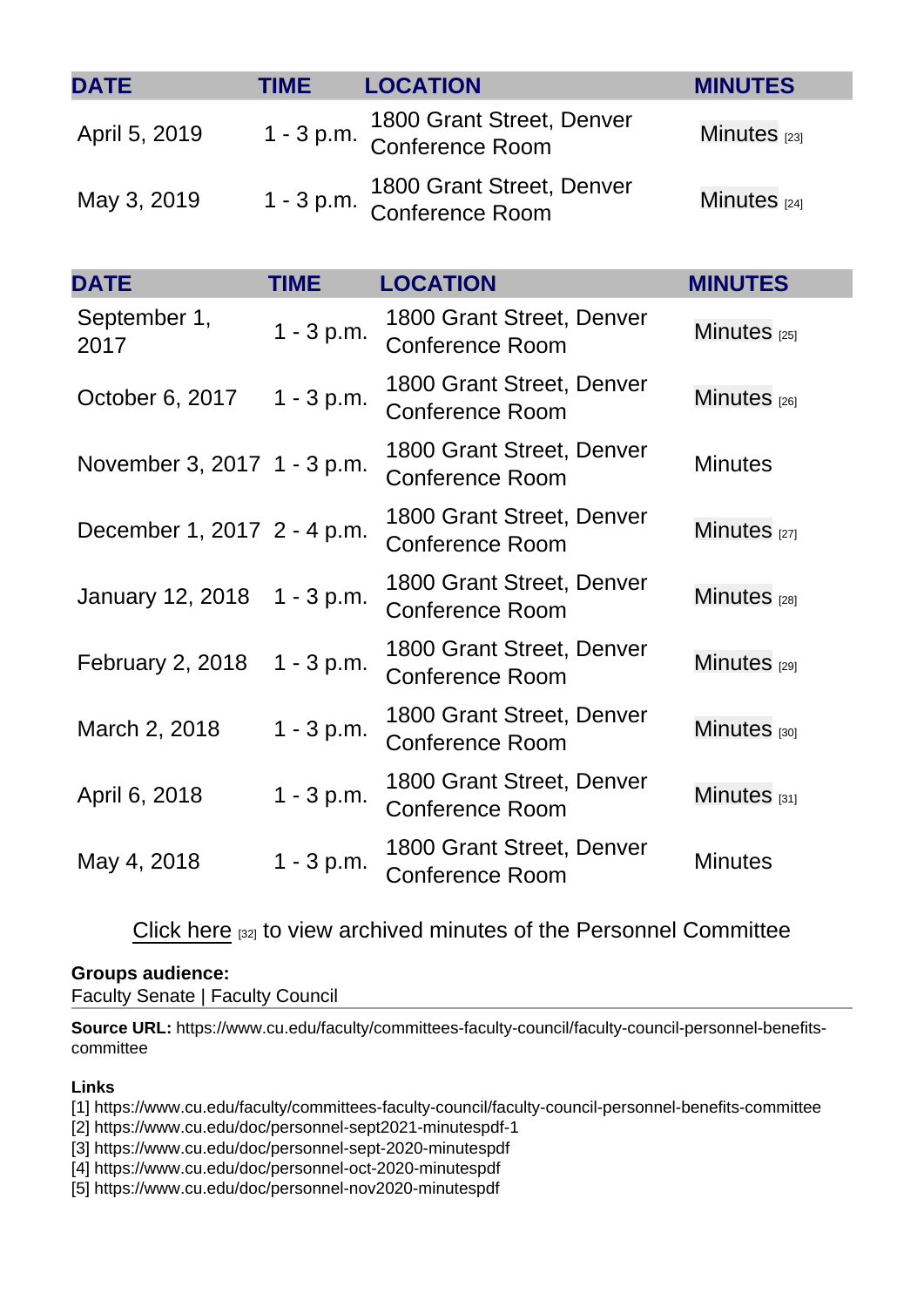<span id="page-4-0"></span>

| <b>DATE</b>                 | <b>TIME</b>  | <b>LOCATION</b>                                     | <b>MINUTES</b>    |
|-----------------------------|--------------|-----------------------------------------------------|-------------------|
| April 5, 2019               | $1 - 3 p.m.$ | 1800 Grant Street, Denver<br><b>Conference Room</b> | Minutes $[23]$    |
| May 3, 2019                 | $1 - 3 p.m.$ | 1800 Grant Street, Denver<br><b>Conference Room</b> | Minutes $[24]$    |
| <b>DATE</b>                 | <b>TIME</b>  | <b>LOCATION</b>                                     | <b>MINUTES</b>    |
| September 1,<br>2017        | $1 - 3 p.m.$ | 1800 Grant Street, Denver<br><b>Conference Room</b> | Minutes $_{[25]}$ |
| October 6, 2017             | $1 - 3 p.m.$ | 1800 Grant Street, Denver<br><b>Conference Room</b> | Minutes $[26]$    |
| November 3, 2017 1 - 3 p.m. |              | 1800 Grant Street, Denver<br><b>Conference Room</b> | <b>Minutes</b>    |
| December 1, 2017 2 - 4 p.m. |              | 1800 Grant Street, Denver<br><b>Conference Room</b> | Minutes $[27]$    |
| January 12, 2018            | $1 - 3 p.m.$ | 1800 Grant Street, Denver<br><b>Conference Room</b> | Minutes $[28]$    |
| <b>February 2, 2018</b>     | $1 - 3 p.m.$ | 1800 Grant Street, Denver<br><b>Conference Room</b> | Minutes [29]      |
| March 2, 2018               | $1 - 3 p.m.$ | 1800 Grant Street, Denver<br><b>Conference Room</b> | Minutes [30]      |
| April 6, 2018               | $1 - 3 p.m.$ | 1800 Grant Street, Denver<br><b>Conference Room</b> | Minutes $[31]$    |
| May 4, 2018                 | $1 - 3 p.m.$ | 1800 Grant Street, Denver<br><b>Conference Room</b> | <b>Minutes</b>    |

[Click here](https://www.dropbox.com/home/Faculty Council/Faculty Council Committees/Personnel/Minutes) [32] to view archived minutes of the Personnel Committee

Groups audience: Faculty Senate | Faculty Council

Source URL: https://www.cu.edu/faculty/committees-faculty-council/faculty-council-personnel-benefitscommittee

Links

[1] https://www.cu.edu/faculty/committees-faculty-council/faculty-council-personnel-benefits-committee

[2] https://www.cu.edu/doc/personnel-sept2021-minutespdf-1

[3] https://www.cu.edu/doc/personnel-sept-2020-minutespdf

[4] https://www.cu.edu/doc/personnel-oct-2020-minutespdf

[5] https://www.cu.edu/doc/personnel-nov2020-minutespdf